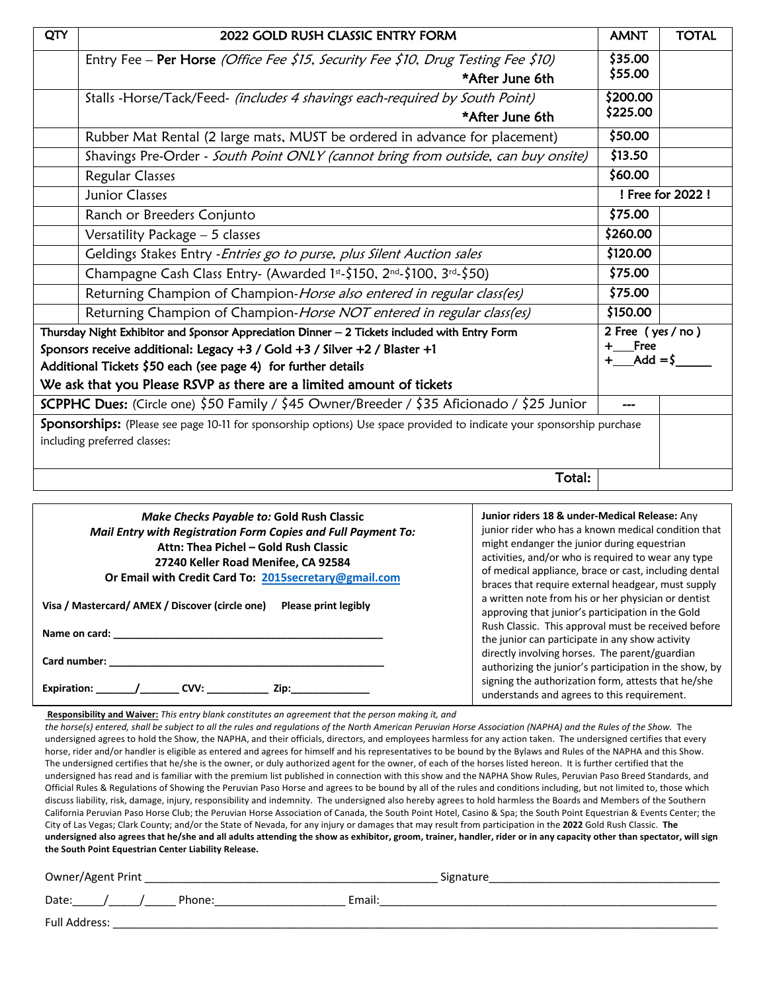| \$35.00<br>Entry Fee - Per Horse (Office Fee \$15, Security Fee \$10, Drug Testing Fee \$10)<br>\$55.00<br>*After June 6th<br>\$200.00<br>Stalls -Horse/Tack/Feed- (includes 4 shavings each-required by South Point)<br>\$225.00<br>*After June 6th<br>\$50.00<br>Rubber Mat Rental (2 large mats, MUST be ordered in advance for placement)<br>\$13.50<br>Shavings Pre-Order - South Point ONLY (cannot bring from outside, can buy onsite)<br>\$60.00<br><b>Regular Classes</b><br>! Free for 2022 !<br>Junior Classes<br>\$75.00<br>Ranch or Breeders Conjunto<br>\$260.00<br>Versatility Package - 5 classes<br>\$120.00<br>Geldings Stakes Entry - Entries go to purse, plus Silent Auction sales<br>\$75.00<br>Champagne Cash Class Entry- (Awarded 1st-\$150, 2nd-\$100, 3rd-\$50)<br>\$75.00<br>Returning Champion of Champion-Horse also entered in regular class(es)<br>\$150.00<br>Returning Champion of Champion-Horse NOT entered in regular class(es)<br>2 Free (yes / no)<br>Thursday Night Exhibitor and Sponsor Appreciation Dinner - 2 Tickets included with Entry Form<br><b>Free</b><br>Sponsors receive additional: Legacy +3 / Gold +3 / Silver +2 / Blaster +1<br>Add $=$ \$<br>Additional Tickets \$50 each (see page 4) for further details<br>We ask that you Please RSVP as there are a limited amount of tickets<br>SCPPHC Dues: (Circle one) \$50 Family / \$45 Owner/Breeder / \$35 Aficionado / \$25 Junior<br>Sponsorships: (Please see page 10-11 for sponsorship options) Use space provided to indicate your sponsorship purchase<br>including preferred classes: | QTY | 2022 GOLD RUSH CLASSIC ENTRY FORM | <b>AMNT</b> | <b>TOTAL</b> |  |  |  |
|-------------------------------------------------------------------------------------------------------------------------------------------------------------------------------------------------------------------------------------------------------------------------------------------------------------------------------------------------------------------------------------------------------------------------------------------------------------------------------------------------------------------------------------------------------------------------------------------------------------------------------------------------------------------------------------------------------------------------------------------------------------------------------------------------------------------------------------------------------------------------------------------------------------------------------------------------------------------------------------------------------------------------------------------------------------------------------------------------------------------------------------------------------------------------------------------------------------------------------------------------------------------------------------------------------------------------------------------------------------------------------------------------------------------------------------------------------------------------------------------------------------------------------------------------------------------------------------------------------|-----|-----------------------------------|-------------|--------------|--|--|--|
|                                                                                                                                                                                                                                                                                                                                                                                                                                                                                                                                                                                                                                                                                                                                                                                                                                                                                                                                                                                                                                                                                                                                                                                                                                                                                                                                                                                                                                                                                                                                                                                                       |     |                                   |             |              |  |  |  |
|                                                                                                                                                                                                                                                                                                                                                                                                                                                                                                                                                                                                                                                                                                                                                                                                                                                                                                                                                                                                                                                                                                                                                                                                                                                                                                                                                                                                                                                                                                                                                                                                       |     |                                   |             |              |  |  |  |
|                                                                                                                                                                                                                                                                                                                                                                                                                                                                                                                                                                                                                                                                                                                                                                                                                                                                                                                                                                                                                                                                                                                                                                                                                                                                                                                                                                                                                                                                                                                                                                                                       |     |                                   |             |              |  |  |  |
|                                                                                                                                                                                                                                                                                                                                                                                                                                                                                                                                                                                                                                                                                                                                                                                                                                                                                                                                                                                                                                                                                                                                                                                                                                                                                                                                                                                                                                                                                                                                                                                                       |     |                                   |             |              |  |  |  |
|                                                                                                                                                                                                                                                                                                                                                                                                                                                                                                                                                                                                                                                                                                                                                                                                                                                                                                                                                                                                                                                                                                                                                                                                                                                                                                                                                                                                                                                                                                                                                                                                       |     |                                   |             |              |  |  |  |
|                                                                                                                                                                                                                                                                                                                                                                                                                                                                                                                                                                                                                                                                                                                                                                                                                                                                                                                                                                                                                                                                                                                                                                                                                                                                                                                                                                                                                                                                                                                                                                                                       |     |                                   |             |              |  |  |  |
|                                                                                                                                                                                                                                                                                                                                                                                                                                                                                                                                                                                                                                                                                                                                                                                                                                                                                                                                                                                                                                                                                                                                                                                                                                                                                                                                                                                                                                                                                                                                                                                                       |     |                                   |             |              |  |  |  |
|                                                                                                                                                                                                                                                                                                                                                                                                                                                                                                                                                                                                                                                                                                                                                                                                                                                                                                                                                                                                                                                                                                                                                                                                                                                                                                                                                                                                                                                                                                                                                                                                       |     |                                   |             |              |  |  |  |
|                                                                                                                                                                                                                                                                                                                                                                                                                                                                                                                                                                                                                                                                                                                                                                                                                                                                                                                                                                                                                                                                                                                                                                                                                                                                                                                                                                                                                                                                                                                                                                                                       |     |                                   |             |              |  |  |  |
|                                                                                                                                                                                                                                                                                                                                                                                                                                                                                                                                                                                                                                                                                                                                                                                                                                                                                                                                                                                                                                                                                                                                                                                                                                                                                                                                                                                                                                                                                                                                                                                                       |     |                                   |             |              |  |  |  |
|                                                                                                                                                                                                                                                                                                                                                                                                                                                                                                                                                                                                                                                                                                                                                                                                                                                                                                                                                                                                                                                                                                                                                                                                                                                                                                                                                                                                                                                                                                                                                                                                       |     |                                   |             |              |  |  |  |
|                                                                                                                                                                                                                                                                                                                                                                                                                                                                                                                                                                                                                                                                                                                                                                                                                                                                                                                                                                                                                                                                                                                                                                                                                                                                                                                                                                                                                                                                                                                                                                                                       |     |                                   |             |              |  |  |  |
|                                                                                                                                                                                                                                                                                                                                                                                                                                                                                                                                                                                                                                                                                                                                                                                                                                                                                                                                                                                                                                                                                                                                                                                                                                                                                                                                                                                                                                                                                                                                                                                                       |     |                                   |             |              |  |  |  |
|                                                                                                                                                                                                                                                                                                                                                                                                                                                                                                                                                                                                                                                                                                                                                                                                                                                                                                                                                                                                                                                                                                                                                                                                                                                                                                                                                                                                                                                                                                                                                                                                       |     |                                   |             |              |  |  |  |
|                                                                                                                                                                                                                                                                                                                                                                                                                                                                                                                                                                                                                                                                                                                                                                                                                                                                                                                                                                                                                                                                                                                                                                                                                                                                                                                                                                                                                                                                                                                                                                                                       |     |                                   |             |              |  |  |  |
|                                                                                                                                                                                                                                                                                                                                                                                                                                                                                                                                                                                                                                                                                                                                                                                                                                                                                                                                                                                                                                                                                                                                                                                                                                                                                                                                                                                                                                                                                                                                                                                                       |     |                                   |             |              |  |  |  |
|                                                                                                                                                                                                                                                                                                                                                                                                                                                                                                                                                                                                                                                                                                                                                                                                                                                                                                                                                                                                                                                                                                                                                                                                                                                                                                                                                                                                                                                                                                                                                                                                       |     |                                   |             |              |  |  |  |
|                                                                                                                                                                                                                                                                                                                                                                                                                                                                                                                                                                                                                                                                                                                                                                                                                                                                                                                                                                                                                                                                                                                                                                                                                                                                                                                                                                                                                                                                                                                                                                                                       |     |                                   |             |              |  |  |  |
|                                                                                                                                                                                                                                                                                                                                                                                                                                                                                                                                                                                                                                                                                                                                                                                                                                                                                                                                                                                                                                                                                                                                                                                                                                                                                                                                                                                                                                                                                                                                                                                                       |     |                                   |             |              |  |  |  |
|                                                                                                                                                                                                                                                                                                                                                                                                                                                                                                                                                                                                                                                                                                                                                                                                                                                                                                                                                                                                                                                                                                                                                                                                                                                                                                                                                                                                                                                                                                                                                                                                       |     |                                   |             |              |  |  |  |
|                                                                                                                                                                                                                                                                                                                                                                                                                                                                                                                                                                                                                                                                                                                                                                                                                                                                                                                                                                                                                                                                                                                                                                                                                                                                                                                                                                                                                                                                                                                                                                                                       |     |                                   |             |              |  |  |  |
|                                                                                                                                                                                                                                                                                                                                                                                                                                                                                                                                                                                                                                                                                                                                                                                                                                                                                                                                                                                                                                                                                                                                                                                                                                                                                                                                                                                                                                                                                                                                                                                                       |     |                                   |             |              |  |  |  |
| Total:                                                                                                                                                                                                                                                                                                                                                                                                                                                                                                                                                                                                                                                                                                                                                                                                                                                                                                                                                                                                                                                                                                                                                                                                                                                                                                                                                                                                                                                                                                                                                                                                |     |                                   |             |              |  |  |  |

| <b>Make Checks Payable to: Gold Rush Classic</b><br>Mail Entry with Registration Form Copies and Full Payment To: | Junior riders 18 & under-Medical Release: Any<br>junior rider who has a known medical condition that<br>might endanger the junior during equestrian                                                                |  |  |  |  |
|-------------------------------------------------------------------------------------------------------------------|--------------------------------------------------------------------------------------------------------------------------------------------------------------------------------------------------------------------|--|--|--|--|
| Attn: Thea Pichel - Gold Rush Classic                                                                             | activities, and/or who is required to wear any type                                                                                                                                                                |  |  |  |  |
| 27240 Keller Road Menifee, CA 92584                                                                               | of medical appliance, brace or cast, including dental                                                                                                                                                              |  |  |  |  |
| Or Email with Credit Card To: 2015secretary@gmail.com                                                             | braces that require external headgear, must supply                                                                                                                                                                 |  |  |  |  |
| Visa / Mastercard/ AMEX / Discover (circle one)<br>Please print legibly<br>Name on card:                          | a written note from his or her physician or dentist<br>approving that junior's participation in the Gold<br>Rush Classic. This approval must be received before<br>the junior can participate in any show activity |  |  |  |  |
| Card number:                                                                                                      | directly involving horses. The parent/guardian                                                                                                                                                                     |  |  |  |  |
| <b>Expiration:</b>                                                                                                | authorizing the junior's participation in the show, by                                                                                                                                                             |  |  |  |  |
| $\sqrt{2}$ CVV:                                                                                                   | signing the authorization form, attests that he/she                                                                                                                                                                |  |  |  |  |
| Zip:                                                                                                              | understands and agrees to this requirement.                                                                                                                                                                        |  |  |  |  |

**Responsibility and Waiver:** *This entry blank constitutes an agreement that the person making it, and* 

the horse(s) entered, shall be subject to all the rules and regulations of the North American Peruvian Horse Association (NAPHA) and the Rules of the Show. The undersigned agrees to hold the Show, the NAPHA, and their officials, directors, and employees harmless for any action taken. The undersigned certifies that every horse, rider and/or handler is eligible as entered and agrees for himself and his representatives to be bound by the Bylaws and Rules of the NAPHA and this Show. The undersigned certifies that he/she is the owner, or duly authorized agent for the owner, of each of the horses listed hereon. It is further certified that the undersigned has read and is familiar with the premium list published in connection with this show and the NAPHA Show Rules, Peruvian Paso Breed Standards, and Official Rules & Regulations of Showing the Peruvian Paso Horse and agrees to be bound by all of the rules and conditions including, but not limited to, those which discuss liability, risk, damage, injury, responsibility and indemnity. The undersigned also hereby agrees to hold harmless the Boards and Members of the Southern California Peruvian Paso Horse Club; the Peruvian Horse Association of Canada, the South Point Hotel, Casino & Spa; the South Point Equestrian & Events Center; the City of Las Vegas; Clark County; and/or the State of Nevada, for any injury or damages that may result from participation in the **2022** Gold Rush Classic. **The undersigned also agrees that he/she and all adults attending the show as exhibitor, groom, trainer, handler, rider or in any capacity other than spectator, will sign the South Point Equestrian Center Liability Release.** 

| Owner/Agent Print | Signature |        |  |  |  |  |
|-------------------|-----------|--------|--|--|--|--|
| Date:             | Phone:    | Email: |  |  |  |  |
| Full Address:     |           |        |  |  |  |  |